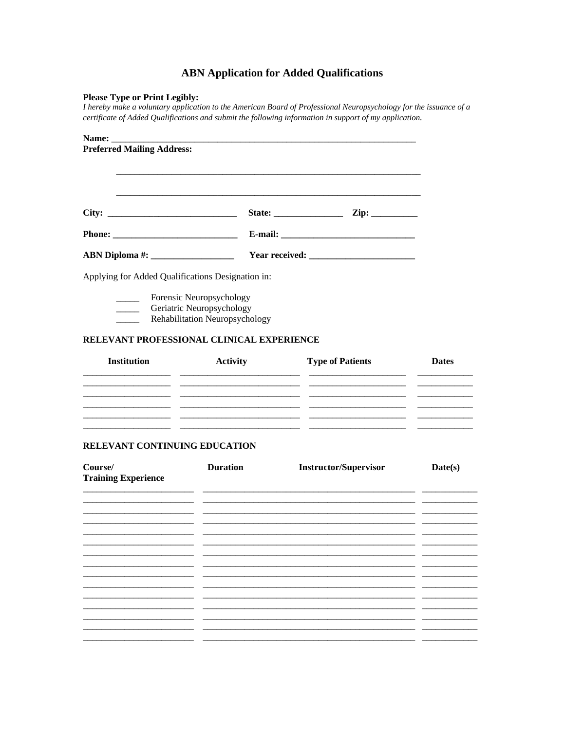# **ABN Application for Added Qualifications**

## **Please Type or Print Legibly:**

I hereby make a voluntary application to the American Board of Professional Neuropsychology for the issuance of a certificate of Added Qualifications and submit the following information in support of my application.

| <b>Preferred Mailing Address:</b>                 |                                                                                         |                                                                         |              |  |  |
|---------------------------------------------------|-----------------------------------------------------------------------------------------|-------------------------------------------------------------------------|--------------|--|--|
|                                                   |                                                                                         |                                                                         |              |  |  |
|                                                   |                                                                                         |                                                                         |              |  |  |
| City:                                             |                                                                                         |                                                                         |              |  |  |
|                                                   |                                                                                         |                                                                         |              |  |  |
|                                                   |                                                                                         |                                                                         |              |  |  |
| Applying for Added Qualifications Designation in: |                                                                                         |                                                                         |              |  |  |
| $\overline{\phantom{a}}$<br>$\frac{1}{2}$         | Forensic Neuropsychology<br>Geriatric Neuropsychology<br>Rehabilitation Neuropsychology |                                                                         |              |  |  |
| RELEVANT PROFESSIONAL CLINICAL EXPERIENCE         |                                                                                         |                                                                         |              |  |  |
| <b>Institution</b>                                | <b>Activity</b>                                                                         | <b>Type of Patients</b>                                                 | <b>Dates</b> |  |  |
|                                                   |                                                                                         |                                                                         |              |  |  |
| $\overline{\phantom{a}}$                          |                                                                                         | $ -$                                                                    |              |  |  |
|                                                   |                                                                                         | <u> 1990 - Johann Harry Barn, mars and deutscher Schwarzer († 1901)</u> |              |  |  |
| RELEVANT CONTINUING EDUCATION                     |                                                                                         |                                                                         |              |  |  |
| Course/<br><b>Training Experience</b>             | <b>Duration</b>                                                                         | <b>Instructor/Supervisor</b>                                            | Date(s)      |  |  |
|                                                   |                                                                                         |                                                                         |              |  |  |
|                                                   |                                                                                         |                                                                         |              |  |  |
|                                                   |                                                                                         |                                                                         |              |  |  |
|                                                   |                                                                                         |                                                                         |              |  |  |
|                                                   |                                                                                         |                                                                         |              |  |  |
|                                                   |                                                                                         |                                                                         |              |  |  |
|                                                   |                                                                                         |                                                                         |              |  |  |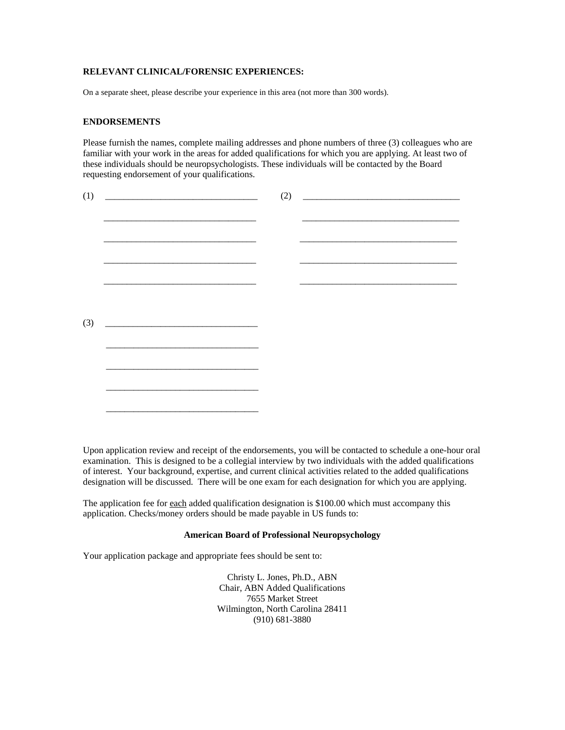### **RELEVANT CLINICAL/FORENSIC EXPERIENCES:**

On a separate sheet, please describe your experience in this area (not more than 300 words).

#### **ENDORSEMENTS**

Please furnish the names, complete mailing addresses and phone numbers of three (3) colleagues who are familiar with your work in the areas for added qualifications for which you are applying. At least two of these individuals should be neuropsychologists. These individuals will be contacted by the Board requesting endorsement of your qualifications.

| (1) |                                                                                                                      |  | $(2) \quad \begin{tabular}{c} \hline \rule[1ex]{1ex}{1ex} \rule[1ex]{1ex}{1ex} \rule[1ex]{1ex}{1ex} \rule[1ex]{1ex}{1ex} \rule[1ex]{1ex}{1ex} \rule[1ex]{1ex}{1ex} \rule[1ex]{1ex}{1ex} \rule[1ex]{1ex}{1ex} \rule[1ex]{1ex}{1ex} \rule[1ex]{1ex}{1ex} \rule[1ex]{1ex}{1ex} \rule[1ex]{1ex}{1ex} \rule[1ex]{1ex}{1ex} \rule[1ex]{1ex}{1ex} \rule[1ex]{1ex}{1ex} \rule[1ex]{1ex}{1ex} \rule[1ex]{1ex}{1ex}$ |  |
|-----|----------------------------------------------------------------------------------------------------------------------|--|------------------------------------------------------------------------------------------------------------------------------------------------------------------------------------------------------------------------------------------------------------------------------------------------------------------------------------------------------------------------------------------------------------|--|
|     |                                                                                                                      |  |                                                                                                                                                                                                                                                                                                                                                                                                            |  |
|     |                                                                                                                      |  |                                                                                                                                                                                                                                                                                                                                                                                                            |  |
|     |                                                                                                                      |  |                                                                                                                                                                                                                                                                                                                                                                                                            |  |
|     |                                                                                                                      |  |                                                                                                                                                                                                                                                                                                                                                                                                            |  |
|     |                                                                                                                      |  |                                                                                                                                                                                                                                                                                                                                                                                                            |  |
|     |                                                                                                                      |  |                                                                                                                                                                                                                                                                                                                                                                                                            |  |
|     |                                                                                                                      |  |                                                                                                                                                                                                                                                                                                                                                                                                            |  |
|     |                                                                                                                      |  |                                                                                                                                                                                                                                                                                                                                                                                                            |  |
|     |                                                                                                                      |  |                                                                                                                                                                                                                                                                                                                                                                                                            |  |
| (3) | <u> 1980 - Jan Stein Stein Stein Stein Stein Stein Stein Stein Stein Stein Stein Stein Stein Stein Stein Stein S</u> |  |                                                                                                                                                                                                                                                                                                                                                                                                            |  |
|     |                                                                                                                      |  |                                                                                                                                                                                                                                                                                                                                                                                                            |  |
|     |                                                                                                                      |  |                                                                                                                                                                                                                                                                                                                                                                                                            |  |
|     |                                                                                                                      |  |                                                                                                                                                                                                                                                                                                                                                                                                            |  |
|     |                                                                                                                      |  |                                                                                                                                                                                                                                                                                                                                                                                                            |  |
|     |                                                                                                                      |  |                                                                                                                                                                                                                                                                                                                                                                                                            |  |
|     |                                                                                                                      |  |                                                                                                                                                                                                                                                                                                                                                                                                            |  |
|     |                                                                                                                      |  |                                                                                                                                                                                                                                                                                                                                                                                                            |  |

Upon application review and receipt of the endorsements, you will be contacted to schedule a one-hour oral examination. This is designed to be a collegial interview by two individuals with the added qualifications of interest. Your background, expertise, and current clinical activities related to the added qualifications designation will be discussed. There will be one exam for each designation for which you are applying.

The application fee for each added qualification designation is \$100.00 which must accompany this application. Checks/money orders should be made payable in US funds to:

#### **American Board of Professional Neuropsychology**

Your application package and appropriate fees should be sent to:

Christy L. Jones, Ph.D., ABN Chair, ABN Added Qualifications 7655 Market Street Wilmington, North Carolina 28411 (910) 681-3880